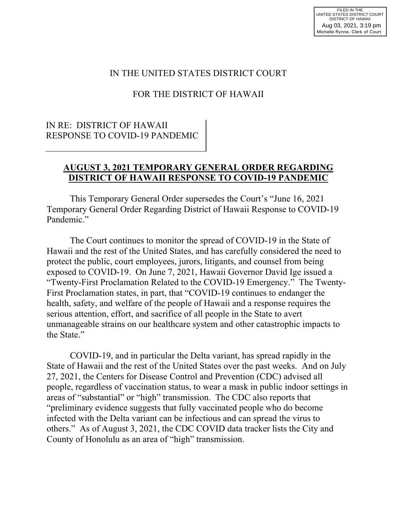## IN THE UNITED STATES DISTRICT COURT

## FOR THE DISTRICT OF HAWAII

## IN RE: DISTRICT OF HAWAII RESPONSE TO COVID-19 PANDEMIC

#### **AUGUST 3, 2021 TEMPORARY GENERAL ORDER REGARDING DISTRICT OF HAWAII RESPONSE TO COVID-19 PANDEMIC**

 This Temporary General Order supersedes the Court's "June 16, 2021 Temporary General Order Regarding District of Hawaii Response to COVID-19 Pandemic."

 The Court continues to monitor the spread of COVID-19 in the State of Hawaii and the rest of the United States, and has carefully considered the need to protect the public, court employees, jurors, litigants, and counsel from being exposed to COVID-19. On June 7, 2021, Hawaii Governor David Ige issued a "Twenty-First Proclamation Related to the COVID-19 Emergency." The Twenty-First Proclamation states, in part, that "COVID-19 continues to endanger the health, safety, and welfare of the people of Hawaii and a response requires the serious attention, effort, and sacrifice of all people in the State to avert unmanageable strains on our healthcare system and other catastrophic impacts to the State."

 COVID-19, and in particular the Delta variant, has spread rapidly in the State of Hawaii and the rest of the United States over the past weeks. And on July 27, 2021, the Centers for Disease Control and Prevention (CDC) advised all people, regardless of vaccination status, to wear a mask in public indoor settings in areas of "substantial" or "high" transmission. The CDC also reports that "preliminary evidence suggests that fully vaccinated people who do become infected with the Delta variant can be infectious and can spread the virus to others." As of August 3, 2021, the CDC COVID data tracker lists the City and County of Honolulu as an area of "high" transmission.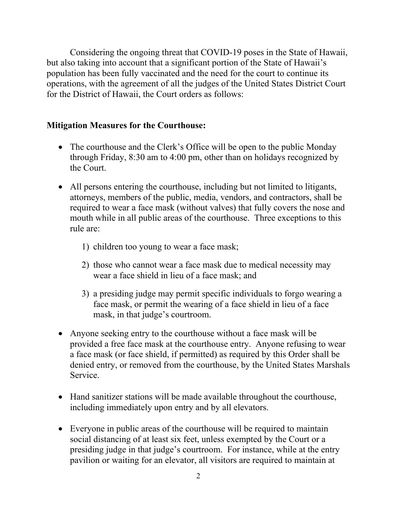Considering the ongoing threat that COVID-19 poses in the State of Hawaii, but also taking into account that a significant portion of the State of Hawaii's population has been fully vaccinated and the need for the court to continue its operations, with the agreement of all the judges of the United States District Court for the District of Hawaii, the Court orders as follows:

#### **Mitigation Measures for the Courthouse:**

- The courthouse and the Clerk's Office will be open to the public Monday through Friday, 8:30 am to 4:00 pm, other than on holidays recognized by the Court.
- All persons entering the courthouse, including but not limited to litigants, attorneys, members of the public, media, vendors, and contractors, shall be required to wear a face mask (without valves) that fully covers the nose and mouth while in all public areas of the courthouse. Three exceptions to this rule are:
	- 1) children too young to wear a face mask;
	- 2) those who cannot wear a face mask due to medical necessity may wear a face shield in lieu of a face mask; and
	- 3) a presiding judge may permit specific individuals to forgo wearing a face mask, or permit the wearing of a face shield in lieu of a face mask, in that judge's courtroom.
- Anyone seeking entry to the courthouse without a face mask will be provided a free face mask at the courthouse entry. Anyone refusing to wear a face mask (or face shield, if permitted) as required by this Order shall be denied entry, or removed from the courthouse, by the United States Marshals Service.
- Hand sanitizer stations will be made available throughout the courthouse, including immediately upon entry and by all elevators.
- Everyone in public areas of the courthouse will be required to maintain social distancing of at least six feet, unless exempted by the Court or a presiding judge in that judge's courtroom. For instance, while at the entry pavilion or waiting for an elevator, all visitors are required to maintain at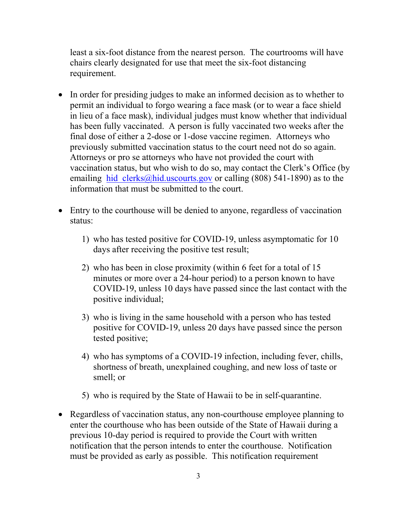least a six-foot distance from the nearest person. The courtrooms will have chairs clearly designated for use that meet the six-foot distancing requirement.

- In order for presiding judges to make an informed decision as to whether to permit an individual to forgo wearing a face mask (or to wear a face shield in lieu of a face mask), individual judges must know whether that individual has been fully vaccinated. A person is fully vaccinated two weeks after the final dose of either a 2-dose or 1-dose vaccine regimen. Attorneys who previously submitted vaccination status to the court need not do so again. Attorneys or pro se attorneys who have not provided the court with vaccination status, but who wish to do so, may contact the Clerk's Office (by emailing hid clerks@hid.uscourts.gov or calling  $(808)$  541-1890) as to the information that must be submitted to the court.
- Entry to the courthouse will be denied to anyone, regardless of vaccination status:
	- 1) who has tested positive for COVID-19, unless asymptomatic for 10 days after receiving the positive test result;
	- 2) who has been in close proximity (within 6 feet for a total of 15 minutes or more over a 24-hour period) to a person known to have COVID-19, unless 10 days have passed since the last contact with the positive individual;
	- 3) who is living in the same household with a person who has tested positive for COVID-19, unless 20 days have passed since the person tested positive;
	- 4) who has symptoms of a COVID-19 infection, including fever, chills, shortness of breath, unexplained coughing, and new loss of taste or smell; or
	- 5) who is required by the State of Hawaii to be in self-quarantine.
- Regardless of vaccination status, any non-courthouse employee planning to enter the courthouse who has been outside of the State of Hawaii during a previous 10-day period is required to provide the Court with written notification that the person intends to enter the courthouse. Notification must be provided as early as possible. This notification requirement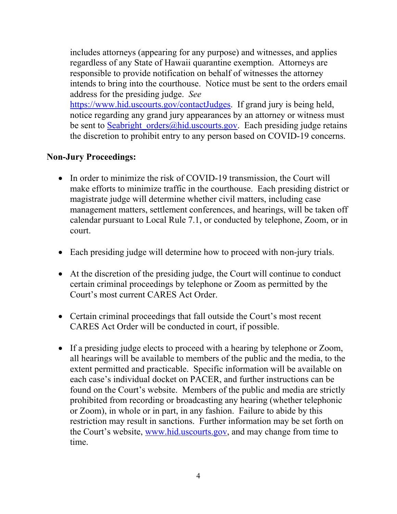includes attorneys (appearing for any purpose) and witnesses, and applies regardless of any State of Hawaii quarantine exemption. Attorneys are responsible to provide notification on behalf of witnesses the attorney intends to bring into the courthouse. Notice must be sent to the orders email address for the presiding judge. *See*

https://www.hid.uscourts.gov/contactJudges. If grand jury is being held, notice regarding any grand jury appearances by an attorney or witness must be sent to Seabright orders@hid.uscourts.gov. Each presiding judge retains the discretion to prohibit entry to any person based on COVID-19 concerns.

## **Non-Jury Proceedings:**

- In order to minimize the risk of COVID-19 transmission, the Court will make efforts to minimize traffic in the courthouse. Each presiding district or magistrate judge will determine whether civil matters, including case management matters, settlement conferences, and hearings, will be taken off calendar pursuant to Local Rule 7.1, or conducted by telephone, Zoom, or in court.
- Each presiding judge will determine how to proceed with non-jury trials.
- At the discretion of the presiding judge, the Court will continue to conduct certain criminal proceedings by telephone or Zoom as permitted by the Court's most current CARES Act Order.
- Certain criminal proceedings that fall outside the Court's most recent CARES Act Order will be conducted in court, if possible.
- If a presiding judge elects to proceed with a hearing by telephone or Zoom, all hearings will be available to members of the public and the media, to the extent permitted and practicable. Specific information will be available on each case's individual docket on PACER, and further instructions can be found on the Court's website. Members of the public and media are strictly prohibited from recording or broadcasting any hearing (whether telephonic or Zoom), in whole or in part, in any fashion. Failure to abide by this restriction may result in sanctions. Further information may be set forth on the Court's website, www.hid.uscourts.gov, and may change from time to time.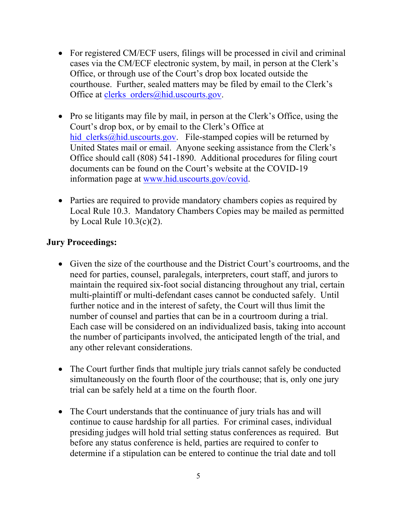- For registered CM/ECF users, filings will be processed in civil and criminal cases via the CM/ECF electronic system, by mail, in person at the Clerk's Office, or through use of the Court's drop box located outside the courthouse. Further, sealed matters may be filed by email to the Clerk's Office at clerks orders@hid.uscourts.gov.
- Pro se litigants may file by mail, in person at the Clerk's Office, using the Court's drop box, or by email to the Clerk's Office at hid clerks@hid.uscourts.gov. File-stamped copies will be returned by United States mail or email. Anyone seeking assistance from the Clerk's Office should call (808) 541-1890. Additional procedures for filing court documents can be found on the Court's website at the COVID-19 information page at www.hid.uscourts.gov/covid.
- Parties are required to provide mandatory chambers copies as required by Local Rule 10.3. Mandatory Chambers Copies may be mailed as permitted by Local Rule  $10.3(c)(2)$ .

# **Jury Proceedings:**

- Given the size of the courthouse and the District Court's courtrooms, and the need for parties, counsel, paralegals, interpreters, court staff, and jurors to maintain the required six-foot social distancing throughout any trial, certain multi-plaintiff or multi-defendant cases cannot be conducted safely. Until further notice and in the interest of safety, the Court will thus limit the number of counsel and parties that can be in a courtroom during a trial. Each case will be considered on an individualized basis, taking into account the number of participants involved, the anticipated length of the trial, and any other relevant considerations.
- The Court further finds that multiple jury trials cannot safely be conducted simultaneously on the fourth floor of the courthouse; that is, only one jury trial can be safely held at a time on the fourth floor.
- The Court understands that the continuance of jury trials has and will continue to cause hardship for all parties. For criminal cases, individual presiding judges will hold trial setting status conferences as required. But before any status conference is held, parties are required to confer to determine if a stipulation can be entered to continue the trial date and toll